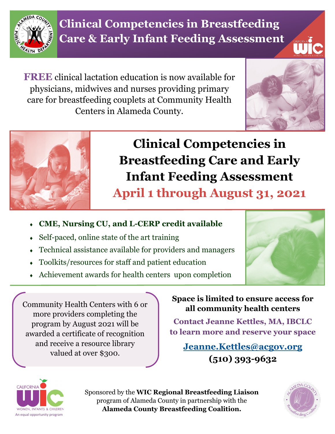

**Clinical Competencies in Breastfeeding Care & Early Infant Feeding Assessment** 

**FREE** clinical lactation education is now available for physicians, midwives and nurses providing primary care for breastfeeding couplets at Community Health Centers in Alameda County.





# **Clinical Competencies in Breastfeeding Care and Early Infant Feeding Assessment**

**April 1 through August 31, 2021**

- **CME, Nursing CU, and L-CERP credit available**
- Self-paced, online state of the art training
- Technical assistance available for providers and managers
- Toolkits/resources for staff and patient education
- Achievement awards for health centers upon completion



Community Health Centers with 6 or more providers completing the program by August 2021 will be awarded a certificate of recognition and receive a resource library valued at over \$300.

**Space is limited to ensure access for all community health centers**

**Contact Jeanne Kettles, MA, IBCLC to learn more and reserve your space**

**[Jeanne.Kettles@acgov.org](mailto:Jeanne.Kettles@acgov.org) (510) 393-9632**



Sponsored by the **WIC Regional Breastfeeding Liaison**  program of Alameda County in partnership with the **Alameda County Breastfeeding Coalition.**